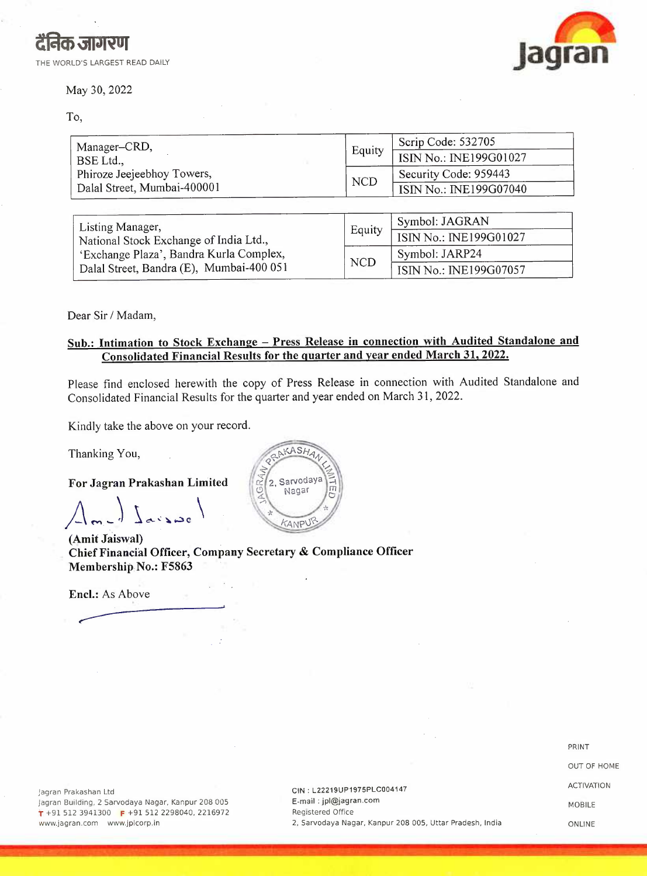#### May 30, 2022

To,

| दैनिक जागरण                    | lagran |
|--------------------------------|--------|
| THE WORLD'S LARGEST READ DAILY |        |

| Manager-CRD,                                                                        |            | Scrip Code: 532705     |  |  |
|-------------------------------------------------------------------------------------|------------|------------------------|--|--|
| BSE Ltd.,                                                                           | Equity     | ISIN No.: INE199G01027 |  |  |
| Phiroze Jeejeebhoy Towers,<br>Dalal Street, Mumbai-400001                           |            | Security Code: 959443  |  |  |
|                                                                                     |            | ISIN No.: INE199G07040 |  |  |
|                                                                                     |            |                        |  |  |
| Listing Manager,                                                                    | Equity     | Symbol: JAGRAN         |  |  |
| National Stock Exchange of India Ltd.,                                              |            | ISIN No.: INE199G01027 |  |  |
| 'Exchange Plaza', Bandra Kurla Complex,<br>Dalal Street, Bandra (E), Mumbai-400 051 | <b>NCD</b> | Symbol: JARP24         |  |  |
|                                                                                     |            | ISIN No.: INE199G07057 |  |  |

Dear Sir/ Madam,

#### Sub.: Intimation to Stock Exchange - Press Release in connection with Audited Standalone and **Consolidated Financial Results for the quarter and year ended March 31, 2022.**

Please find enclosed herewith the copy of Press Release in connection with Audited Standalone and Consolidated Financial Results for the quarter and year ended on March 31, 2022.

Kindly take the above on your record.

Thanking You,

**For Jagran Prakashan Limited** 

*A~J* L,,.,. \

**(Amit Jaiswal) Chief Financial Officer, Company Secretary & Compliance Officer Membership No.: F5863** 

**Encl.:** As Above



PRINT OUT OF HOME ACTIVATION MOBILE ONLINE

jagran Prakashan Ltd Jagran Building, 2 Sarvodaya Nagar, Kanpur 208 005 **r** +91 512 3941300 **F** +91 512 2298040, 2216972 www.jagran.com www.jplcorp.in

CIN : L22219UP1975PLC004147 E-mail : jpl@jagran.com Registered Office 2, Sarvodaya Nagar, Kanpur 208 005, Uttar Pradesh, India

**... ' .. ' ., . i . ,..** *-:J. '* f --:;\_ • ·~ ;. ~ ·.' •• :, \ •• ' ; .. ~ ,.. • l • - • ' . - ,, • - - **-x!-.,;)"**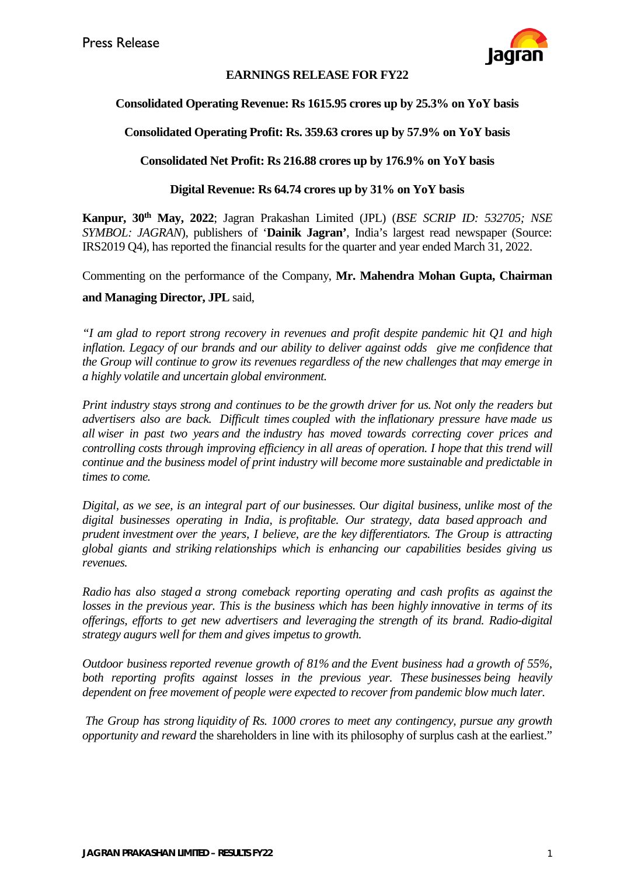

### **EARNINGS RELEASE FOR FY22**

### **Consolidated Operating Revenue: Rs 1615.95 crores up by 25.3% on YoY basis**

### **Consolidated Operating Profit: Rs. 359.63 crores up by 57.9% on YoY basis**

#### **Consolidated Net Profit: Rs 216.88 crores up by 176.9% on YoY basis**

#### **Digital Revenue: Rs 64.74 crores up by 31% on YoY basis**

**Kanpur, 30th May, 2022**; Jagran Prakashan Limited (JPL) (*BSE SCRIP ID: 532705; NSE SYMBOL: JAGRAN*), publishers of '**Dainik Jagran'**, India's largest read newspaper (Source: IRS2019 Q4), has reported the financial results for the quarter and year ended March 31, 2022.

Commenting on the performance of the Company, **Mr. Mahendra Mohan Gupta, Chairman** 

#### **and Managing Director, JPL** said,

*"I am glad to report strong recovery in revenues and profit despite pandemic hit Q1 and high inflation. Legacy of our brands and our ability to deliver against odds give me confidence that the Group will continue to grow its revenues regardless of the new challenges that may emerge in a highly volatile and uncertain global environment.*

*Print industry stays strong and continues to be the growth driver for us. Not only the readers but advertisers also are back. Difficult times coupled with the inflationary pressure have made us all wiser in past two years and the industry has moved towards correcting cover prices and controlling costs through improving efficiency in all areas of operation. I hope that this trend will continue and the business model of print industry will become more sustainable and predictable in times to come.* 

*Digital, as we see, is an integral part of our businesses.* O*ur digital business, unlike most of the digital businesses operating in India, is profitable. Our strategy, data based approach and prudent investment over the years, I believe, are the key differentiators. The Group is attracting global giants and striking relationships which is enhancing our capabilities besides giving us revenues.* 

*Radio has also staged a strong comeback reporting operating and cash profits as against the losses in the previous year. This is the business which has been highly innovative in terms of its offerings, efforts to get new advertisers and leveraging the strength of its brand. Radio-digital strategy augurs well for them and gives impetus to growth.*

*Outdoor business reported revenue growth of 81% and the Event business had a growth of 55%, both reporting profits against losses in the previous year. These businesses being heavily dependent on free movement of people were expected to recover from pandemic blow much later.* 

*The Group has strong liquidity of Rs. 1000 crores to meet any contingency, pursue any growth opportunity and reward* the shareholders in line with its philosophy of surplus cash at the earliest."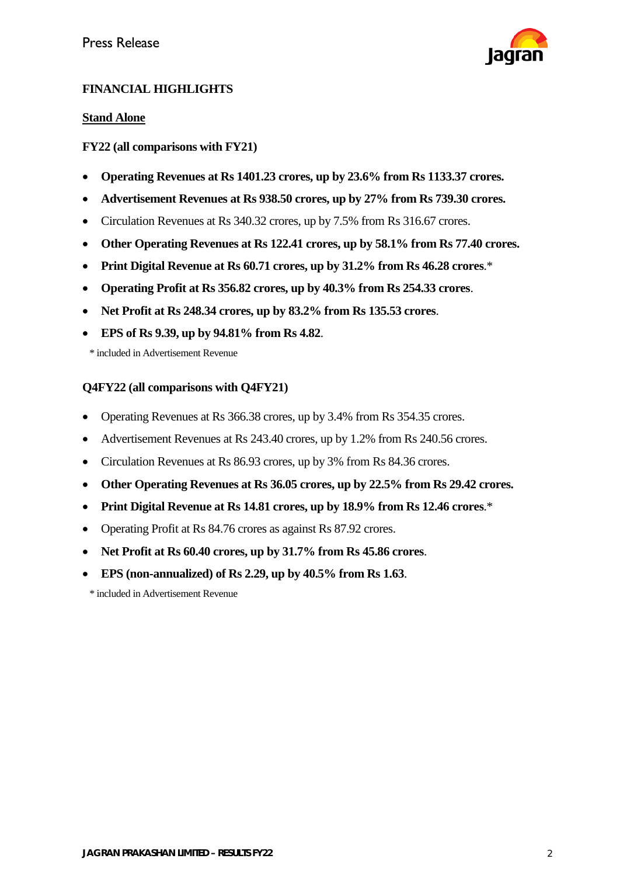

### **FINANCIAL HIGHLIGHTS**

### **Stand Alone**

### **FY22 (all comparisons with FY21)**

- **Operating Revenues at Rs 1401.23 crores, up by 23.6% from Rs 1133.37 crores.**
- **Advertisement Revenues at Rs 938.50 crores, up by 27% from Rs 739.30 crores.**
- Circulation Revenues at Rs 340.32 crores, up by 7.5% from Rs 316.67 crores.
- **Other Operating Revenues at Rs 122.41 crores, up by 58.1% from Rs 77.40 crores.**
- **Print Digital Revenue at Rs 60.71 crores, up by 31.2% from Rs 46.28 crores**.\*
- **Operating Profit at Rs 356.82 crores, up by 40.3% from Rs 254.33 crores**.
- **Net Profit at Rs 248.34 crores, up by 83.2% from Rs 135.53 crores**.
- **EPS of Rs 9.39, up by 94.81% from Rs 4.82**.

\* included in Advertisement Revenue

### **Q4FY22 (all comparisons with Q4FY21)**

- Operating Revenues at Rs 366.38 crores, up by 3.4% from Rs 354.35 crores.
- Advertisement Revenues at Rs 243.40 crores, up by 1.2% from Rs 240.56 crores.
- Circulation Revenues at Rs 86.93 crores, up by 3% from Rs 84.36 crores.
- **Other Operating Revenues at Rs 36.05 crores, up by 22.5% from Rs 29.42 crores.**
- **Print Digital Revenue at Rs 14.81 crores, up by 18.9% from Rs 12.46 crores**.\*
- Operating Profit at Rs 84.76 crores as against Rs 87.92 crores.
- **Net Profit at Rs 60.40 crores, up by 31.7% from Rs 45.86 crores**.
- **EPS (non-annualized) of Rs 2.29, up by 40.5% from Rs 1.63**.

\* included in Advertisement Revenue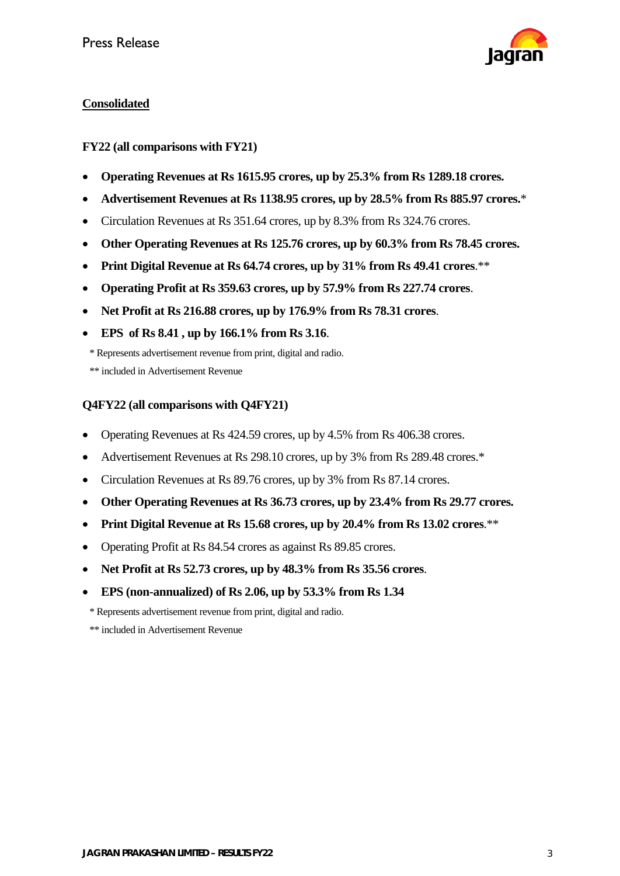

### **Consolidated**

**FY22 (all comparisons with FY21)**

- **Operating Revenues at Rs 1615.95 crores, up by 25.3% from Rs 1289.18 crores.**
- **Advertisement Revenues at Rs 1138.95 crores, up by 28.5% from Rs 885.97 crores.**\*
- Circulation Revenues at Rs 351.64 crores, up by 8.3% from Rs 324.76 crores.
- **Other Operating Revenues at Rs 125.76 crores, up by 60.3% from Rs 78.45 crores.**
- **Print Digital Revenue at Rs 64.74 crores, up by 31% from Rs 49.41 crores**.\*\*
- **Operating Profit at Rs 359.63 crores, up by 57.9% from Rs 227.74 crores**.
- **Net Profit at Rs 216.88 crores, up by 176.9% from Rs 78.31 crores**.
- **EPS of Rs 8.41 , up by 166.1% from Rs 3.16**.

\* Represents advertisement revenue from print, digital and radio.

\*\* included in Advertisement Revenue

### **Q4FY22 (all comparisons with Q4FY21)**

- Operating Revenues at Rs 424.59 crores, up by 4.5% from Rs 406.38 crores.
- Advertisement Revenues at Rs 298.10 crores, up by 3% from Rs 289.48 crores.\*
- Circulation Revenues at Rs 89.76 crores, up by 3% from Rs 87.14 crores.
- **Other Operating Revenues at Rs 36.73 crores, up by 23.4% from Rs 29.77 crores.**
- **Print Digital Revenue at Rs 15.68 crores, up by 20.4% from Rs 13.02 crores**.\*\*
- Operating Profit at Rs 84.54 crores as against Rs 89.85 crores.
- **Net Profit at Rs 52.73 crores, up by 48.3% from Rs 35.56 crores**.
- **EPS (non-annualized) of Rs 2.06, up by 53.3% from Rs 1.34**

\* Represents advertisement revenue from print, digital and radio.

\*\* included in Advertisement Revenue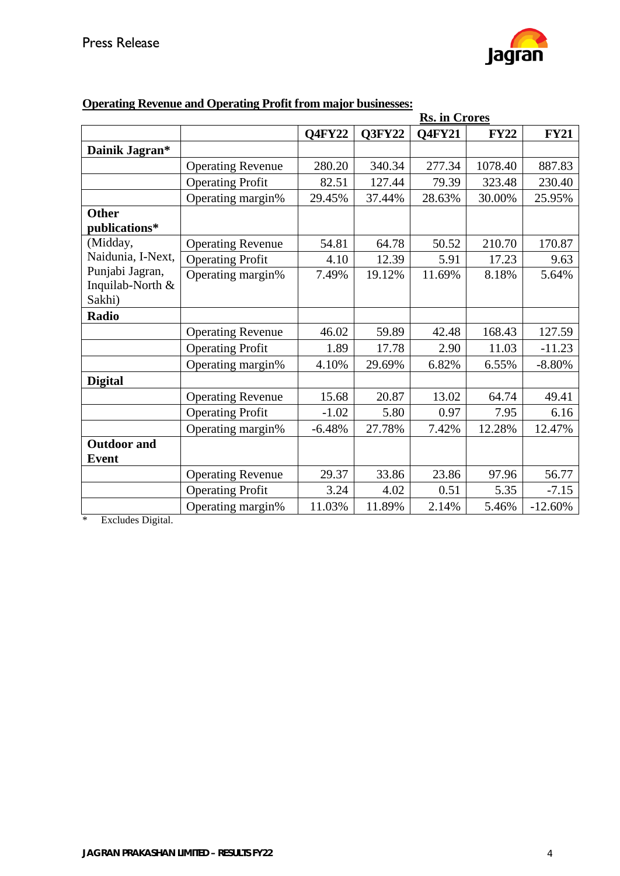

|                    |                          | <b>Rs. in Crores</b> |        |        |             |             |  |
|--------------------|--------------------------|----------------------|--------|--------|-------------|-------------|--|
|                    |                          | <b>Q4FY22</b>        | Q3FY22 | Q4FY21 | <b>FY22</b> | <b>FY21</b> |  |
| Dainik Jagran*     |                          |                      |        |        |             |             |  |
|                    | <b>Operating Revenue</b> | 280.20               | 340.34 | 277.34 | 1078.40     | 887.83      |  |
|                    | <b>Operating Profit</b>  | 82.51                | 127.44 | 79.39  | 323.48      | 230.40      |  |
|                    | Operating margin%        | 29.45%               | 37.44% | 28.63% | 30.00%      | 25.95%      |  |
| <b>Other</b>       |                          |                      |        |        |             |             |  |
| publications*      |                          |                      |        |        |             |             |  |
| (Midday,           | <b>Operating Revenue</b> | 54.81                | 64.78  | 50.52  | 210.70      | 170.87      |  |
| Naidunia, I-Next,  | <b>Operating Profit</b>  | 4.10                 | 12.39  | 5.91   | 17.23       | 9.63        |  |
| Punjabi Jagran,    | Operating margin%        | 7.49%                | 19.12% | 11.69% | 8.18%       | 5.64%       |  |
| Inquilab-North &   |                          |                      |        |        |             |             |  |
| Sakhi)             |                          |                      |        |        |             |             |  |
| <b>Radio</b>       |                          |                      |        |        |             |             |  |
|                    | <b>Operating Revenue</b> | 46.02                | 59.89  | 42.48  | 168.43      | 127.59      |  |
|                    | <b>Operating Profit</b>  | 1.89                 | 17.78  | 2.90   | 11.03       | $-11.23$    |  |
|                    | Operating margin%        | 4.10%                | 29.69% | 6.82%  | 6.55%       | $-8.80%$    |  |
| <b>Digital</b>     |                          |                      |        |        |             |             |  |
|                    | <b>Operating Revenue</b> | 15.68                | 20.87  | 13.02  | 64.74       | 49.41       |  |
|                    | <b>Operating Profit</b>  | $-1.02$              | 5.80   | 0.97   | 7.95        | 6.16        |  |
|                    | Operating margin%        | $-6.48%$             | 27.78% | 7.42%  | 12.28%      | 12.47%      |  |
| <b>Outdoor</b> and |                          |                      |        |        |             |             |  |
| <b>Event</b>       |                          |                      |        |        |             |             |  |
|                    | <b>Operating Revenue</b> | 29.37                | 33.86  | 23.86  | 97.96       | 56.77       |  |
|                    | <b>Operating Profit</b>  | 3.24                 | 4.02   | 0.51   | 5.35        | $-7.15$     |  |
|                    | Operating margin%        | 11.03%               | 11.89% | 2.14%  | 5.46%       | $-12.60%$   |  |

# **Operating Revenue and Operating Profit from major businesses:**

\* Excludes Digital.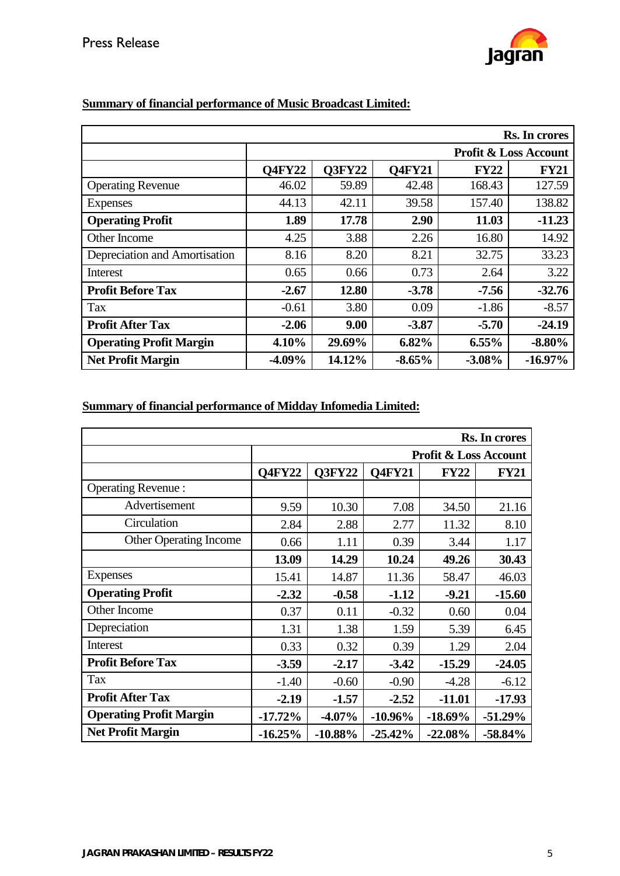

|                                |                                  |               |               |             | Rs. In crores |
|--------------------------------|----------------------------------|---------------|---------------|-------------|---------------|
|                                | <b>Profit &amp; Loss Account</b> |               |               |             |               |
|                                | <b>Q4FY22</b>                    | <b>O3FY22</b> | <b>O4FY21</b> | <b>FY22</b> | <b>FY21</b>   |
| <b>Operating Revenue</b>       | 46.02                            | 59.89         | 42.48         | 168.43      | 127.59        |
| Expenses                       | 44.13                            | 42.11         | 39.58         | 157.40      | 138.82        |
| <b>Operating Profit</b>        | 1.89                             | 17.78         | 2.90          | 11.03       | $-11.23$      |
| Other Income                   | 4.25                             | 3.88          | 2.26          | 16.80       | 14.92         |
| Depreciation and Amortisation  | 8.16                             | 8.20          | 8.21          | 32.75       | 33.23         |
| Interest                       | 0.65                             | 0.66          | 0.73          | 2.64        | 3.22          |
| <b>Profit Before Tax</b>       | $-2.67$                          | 12.80         | $-3.78$       | $-7.56$     | $-32.76$      |
| <b>Tax</b>                     | $-0.61$                          | 3.80          | 0.09          | $-1.86$     | $-8.57$       |
| <b>Profit After Tax</b>        | $-2.06$                          | 9.00          | $-3.87$       | $-5.70$     | $-24.19$      |
| <b>Operating Profit Margin</b> | 4.10%                            | 29.69%        | 6.82%         | 6.55%       | $-8.80%$      |
| <b>Net Profit Margin</b>       | $-4.09\%$                        | 14.12%        | $-8.65%$      | $-3.08%$    | $-16.97\%$    |

## **Summary of financial performance of Music Broadcast Limited:**

# **Summary of financial performance of Midday Infomedia Limited:**

|                                |                                  |               |               |             | Rs. In crores |
|--------------------------------|----------------------------------|---------------|---------------|-------------|---------------|
|                                | <b>Profit &amp; Loss Account</b> |               |               |             |               |
|                                | <b>Q4FY22</b>                    | <b>Q3FY22</b> | <b>O4FY21</b> | <b>FY22</b> | <b>FY21</b>   |
| <b>Operating Revenue:</b>      |                                  |               |               |             |               |
| Advertisement                  | 9.59                             | 10.30         | 7.08          | 34.50       | 21.16         |
| Circulation                    | 2.84                             | 2.88          | 2.77          | 11.32       | 8.10          |
| <b>Other Operating Income</b>  | 0.66                             | 1.11          | 0.39          | 3.44        | 1.17          |
|                                | 13.09                            | 14.29         | 10.24         | 49.26       | 30.43         |
| <b>Expenses</b>                | 15.41                            | 14.87         | 11.36         | 58.47       | 46.03         |
| <b>Operating Profit</b>        | $-2.32$                          | $-0.58$       | $-1.12$       | $-9.21$     | $-15.60$      |
| Other Income                   | 0.37                             | 0.11          | $-0.32$       | 0.60        | 0.04          |
| Depreciation                   | 1.31                             | 1.38          | 1.59          | 5.39        | 6.45          |
| Interest                       | 0.33                             | 0.32          | 0.39          | 1.29        | 2.04          |
| <b>Profit Before Tax</b>       | $-3.59$                          | $-2.17$       | $-3.42$       | $-15.29$    | $-24.05$      |
| <b>Tax</b>                     | $-1.40$                          | $-0.60$       | $-0.90$       | $-4.28$     | $-6.12$       |
| <b>Profit After Tax</b>        | $-2.19$                          | $-1.57$       | $-2.52$       | $-11.01$    | $-17.93$      |
| <b>Operating Profit Margin</b> | $-17.72%$                        | $-4.07\%$     | $-10.96\%$    | $-18.69\%$  | $-51.29%$     |
| <b>Net Profit Margin</b>       | $-16.25%$                        | $-10.88%$     | $-25.42%$     | $-22.08%$   | $-58.84%$     |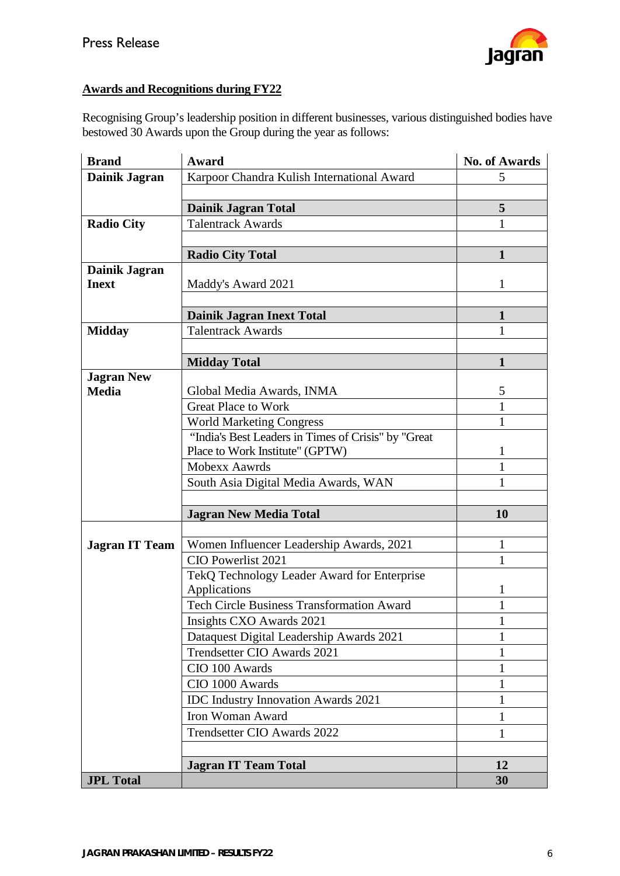

### **Awards and Recognitions during FY22**

Recognising Group's leadership position in different businesses, various distinguished bodies have bestowed 30 Awards upon the Group during the year as follows:

| <b>Brand</b>          | Award                                                                                  | <b>No. of Awards</b> |
|-----------------------|----------------------------------------------------------------------------------------|----------------------|
| Dainik Jagran         | Karpoor Chandra Kulish International Award                                             | 5                    |
|                       |                                                                                        |                      |
|                       | <b>Dainik Jagran Total</b>                                                             | 5                    |
| <b>Radio City</b>     | <b>Talentrack Awards</b>                                                               | 1                    |
|                       |                                                                                        |                      |
|                       | <b>Radio City Total</b>                                                                | 1                    |
| Dainik Jagran         |                                                                                        |                      |
| <b>Inext</b>          | Maddy's Award 2021                                                                     | 1                    |
|                       |                                                                                        |                      |
|                       | <b>Dainik Jagran Inext Total</b>                                                       | 1                    |
| <b>Midday</b>         | <b>Talentrack Awards</b>                                                               | 1                    |
|                       |                                                                                        |                      |
|                       | <b>Midday Total</b>                                                                    | 1                    |
| <b>Jagran New</b>     |                                                                                        |                      |
| <b>Media</b>          | Global Media Awards, INMA                                                              | 5                    |
|                       | <b>Great Place to Work</b>                                                             | 1                    |
|                       | <b>World Marketing Congress</b>                                                        | 1                    |
|                       | "India's Best Leaders in Times of Crisis" by "Great<br>Place to Work Institute" (GPTW) | 1                    |
|                       | <b>Mobexx Aawrds</b>                                                                   | 1                    |
|                       | South Asia Digital Media Awards, WAN                                                   | 1                    |
|                       |                                                                                        |                      |
|                       | <b>Jagran New Media Total</b>                                                          | 10                   |
|                       |                                                                                        |                      |
| <b>Jagran IT Team</b> | Women Influencer Leadership Awards, 2021                                               | 1                    |
|                       | CIO Powerlist 2021                                                                     | 1                    |
|                       | TekQ Technology Leader Award for Enterprise                                            |                      |
|                       | Applications                                                                           | 1                    |
|                       | <b>Tech Circle Business Transformation Award</b>                                       | 1                    |
|                       | Insights CXO Awards 2021                                                               | $\mathbf{1}$         |
|                       | Dataquest Digital Leadership Awards 2021                                               |                      |
|                       | Trendsetter CIO Awards 2021                                                            | 1                    |
|                       | CIO 100 Awards                                                                         |                      |
|                       | CIO 1000 Awards                                                                        | 1                    |
|                       | <b>IDC</b> Industry Innovation Awards 2021                                             | 1                    |
|                       | Iron Woman Award                                                                       | 1                    |
|                       | Trendsetter CIO Awards 2022                                                            | 1                    |
|                       |                                                                                        |                      |
|                       | <b>Jagran IT Team Total</b>                                                            | 12                   |
| <b>JPL Total</b>      |                                                                                        | 30                   |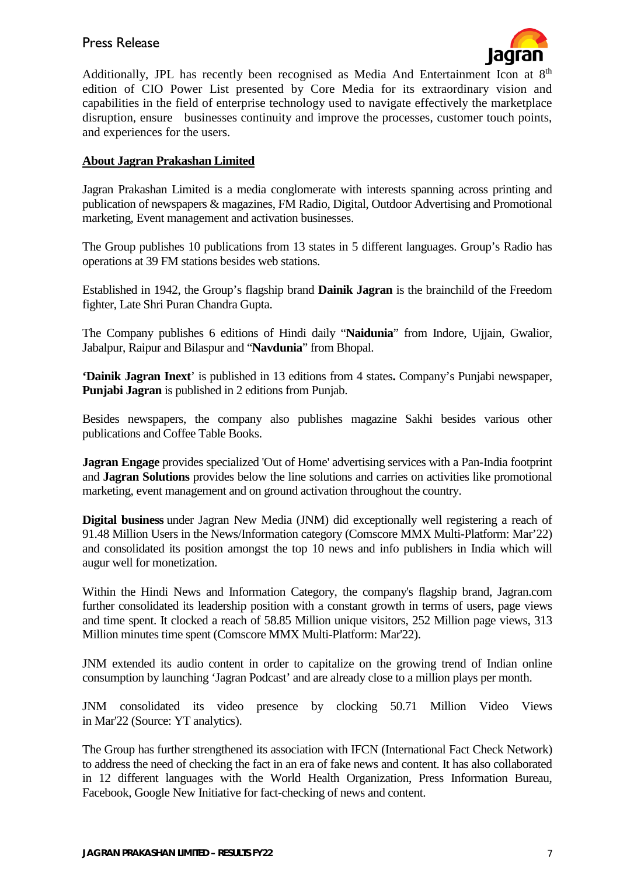### Press Release



Additionally, JPL has recently been recognised as Media And Entertainment Icon at  $8<sup>th</sup>$ edition of CIO Power List presented by Core Media for its extraordinary vision and capabilities in the field of enterprise technology used to navigate effectively the marketplace disruption, ensure businesses continuity and improve the processes, customer touch points, and experiences for the users.

### **About Jagran Prakashan Limited**

Jagran Prakashan Limited is a media conglomerate with interests spanning across printing and publication of newspapers & magazines, FM Radio, Digital, Outdoor Advertising and Promotional marketing, Event management and activation businesses.

The Group publishes 10 publications from 13 states in 5 different languages. Group's Radio has operations at 39 FM stations besides web stations.

Established in 1942, the Group's flagship brand **Dainik Jagran** is the brainchild of the Freedom fighter, Late Shri Puran Chandra Gupta.

The Company publishes 6 editions of Hindi daily "**Naidunia**" from Indore, Ujjain, Gwalior, Jabalpur, Raipur and Bilaspur and "**Navdunia**" from Bhopal.

**'Dainik Jagran Inext**' is published in 13 editions from 4 states**.** Company's Punjabi newspaper, **Punjabi Jagran** is published in 2 editions from Punjab.

Besides newspapers, the company also publishes magazine Sakhi besides various other publications and Coffee Table Books.

**Jagran Engage** provides specialized 'Out of Home' advertising services with a Pan-India footprint and **Jagran Solutions** provides below the line solutions and carries on activities like promotional marketing, event management and on ground activation throughout the country.

**Digital business** under Jagran New Media (JNM) did exceptionally well registering a reach of 91.48 Million Users in the News/Information category (Comscore MMX Multi-Platform: Mar'22) and consolidated its position amongst the top 10 news and info publishers in India which will augur well for monetization.

Within the Hindi News and Information Category, the company's flagship brand, Jagran.com further consolidated its leadership position with a constant growth in terms of users, page views and time spent. It clocked a reach of 58.85 Million unique visitors, 252 Million page views, 313 Million minutes time spent (Comscore MMX Multi-Platform: Mar'22).

JNM extended its audio content in order to capitalize on the growing trend of Indian online consumption by launching 'Jagran Podcast' and are already close to a million plays per month.

JNM consolidated its video presence by clocking 50.71 Million Video Views in Mar'22 (Source: YT analytics).

The Group has further strengthened its association with IFCN (International Fact Check Network) to address the need of checking the fact in an era of fake news and content. It has also collaborated in 12 different languages with the World Health Organization, Press Information Bureau, Facebook, Google New Initiative for fact-checking of news and content.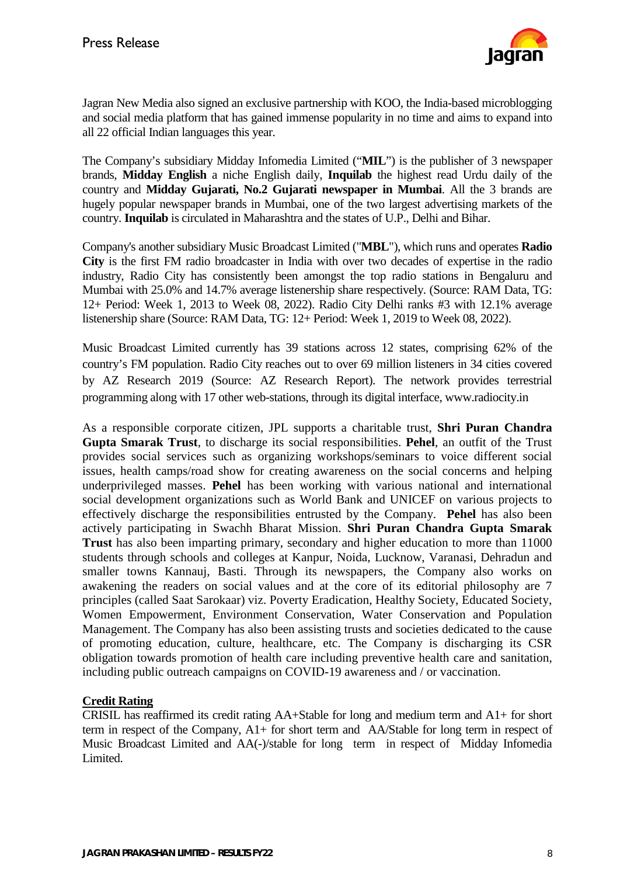

Jagran New Media also signed an exclusive partnership with KOO, the India-based microblogging and social media platform that has gained immense popularity in no time and aims to expand into all 22 official Indian languages this year.

The Company's subsidiary Midday Infomedia Limited ("**MIL**") is the publisher of 3 newspaper brands, **Midday English** a niche English daily, **Inquilab** the highest read Urdu daily of the country and **Midday Gujarati, No.2 Gujarati newspaper in Mumbai**. All the 3 brands are hugely popular newspaper brands in Mumbai, one of the two largest advertising markets of the country. **Inquilab** is circulated in Maharashtra and the states of U.P., Delhi and Bihar.

Company's another subsidiary Music Broadcast Limited ("**MBL**"), which runs and operates **Radio City** is the first FM radio broadcaster in India with over two decades of expertise in the radio industry, Radio City has consistently been amongst the top radio stations in Bengaluru and Mumbai with 25.0% and 14.7% average listenership share respectively. (Source: RAM Data, TG: 12+ Period: Week 1, 2013 to Week 08, 2022). Radio City Delhi ranks #3 with 12.1% average listenership share (Source: RAM Data, TG: 12+ Period: Week 1, 2019 to Week 08, 2022).

Music Broadcast Limited currently has 39 stations across 12 states, comprising 62% of the country's FM population. Radio City reaches out to over 69 million listeners in 34 cities covered by AZ Research 2019 (Source: AZ Research Report). The network provides terrestrial programming along with 17 other web-stations, through its digital interface, www.radiocity.in

As a responsible corporate citizen, JPL supports a charitable trust, **Shri Puran Chandra Gupta Smarak Trust**, to discharge its social responsibilities. **Pehel**, an outfit of the Trust provides social services such as organizing workshops/seminars to voice different social issues, health camps/road show for creating awareness on the social concerns and helping underprivileged masses. **Pehel** has been working with various national and international social development organizations such as World Bank and UNICEF on various projects to effectively discharge the responsibilities entrusted by the Company. **Pehel** has also been actively participating in Swachh Bharat Mission. **Shri Puran Chandra Gupta Smarak Trust** has also been imparting primary, secondary and higher education to more than 11000 students through schools and colleges at Kanpur, Noida, Lucknow, Varanasi, Dehradun and smaller towns Kannauj, Basti. Through its newspapers, the Company also works on awakening the readers on social values and at the core of its editorial philosophy are 7 principles (called Saat Sarokaar) viz. Poverty Eradication, Healthy Society, Educated Society, Women Empowerment, Environment Conservation, Water Conservation and Population Management. The Company has also been assisting trusts and societies dedicated to the cause of promoting education, culture, healthcare, etc. The Company is discharging its CSR obligation towards promotion of health care including preventive health care and sanitation, including public outreach campaigns on COVID-19 awareness and / or vaccination.

#### **Credit Rating**

CRISIL has reaffirmed its credit rating AA+Stable for long and medium term and A1+ for short term in respect of the Company, A1+ for short term and AA/Stable for long term in respect of Music Broadcast Limited and AA(-)/stable for long term in respect of Midday Infomedia Limited.